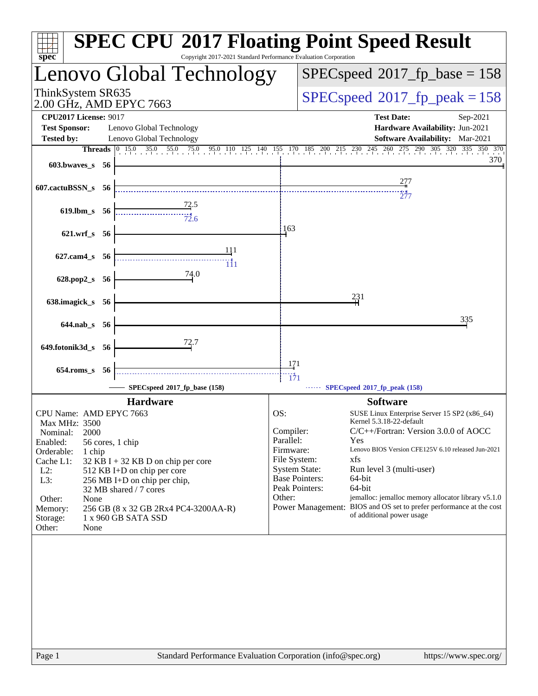| $spec^*$                                                                                                                                                                                                      | <b>SPEC CPU®2017 Floating Point Speed Result</b><br>Copyright 2017-2021 Standard Performance Evaluation Corporation                                                                          |                                                                                                                                         |                                                                                                                                                                                                                                                                                                                                                                                                |
|---------------------------------------------------------------------------------------------------------------------------------------------------------------------------------------------------------------|----------------------------------------------------------------------------------------------------------------------------------------------------------------------------------------------|-----------------------------------------------------------------------------------------------------------------------------------------|------------------------------------------------------------------------------------------------------------------------------------------------------------------------------------------------------------------------------------------------------------------------------------------------------------------------------------------------------------------------------------------------|
|                                                                                                                                                                                                               | Lenovo Global Technology                                                                                                                                                                     |                                                                                                                                         | $SPEC speed^{\circ}2017$ _fp_base = 158                                                                                                                                                                                                                                                                                                                                                        |
| ThinkSystem SR635<br>2.00 GHz, AMD EPYC 7663                                                                                                                                                                  |                                                                                                                                                                                              |                                                                                                                                         | $SPEC speed^{\circ}2017$ _fp_peak = 158                                                                                                                                                                                                                                                                                                                                                        |
| <b>CPU2017 License: 9017</b><br><b>Test Sponsor:</b>                                                                                                                                                          | Lenovo Global Technology                                                                                                                                                                     |                                                                                                                                         | <b>Test Date:</b><br>Sep-2021<br>Hardware Availability: Jun-2021                                                                                                                                                                                                                                                                                                                               |
| <b>Tested by:</b>                                                                                                                                                                                             | Lenovo Global Technology                                                                                                                                                                     |                                                                                                                                         | Software Availability: Mar-2021                                                                                                                                                                                                                                                                                                                                                                |
| 603.bwaves_s 56                                                                                                                                                                                               | <b>Threads</b> 0 15.0 35.0 55.0 75.0 95.0 110 125 140 155 170 185 200 215 230 245 260 275 290 305 320 335 350 370                                                                            |                                                                                                                                         | 370                                                                                                                                                                                                                                                                                                                                                                                            |
| 607.cactuBSSN_s 56                                                                                                                                                                                            |                                                                                                                                                                                              |                                                                                                                                         | 277                                                                                                                                                                                                                                                                                                                                                                                            |
| 619.lbm s 56                                                                                                                                                                                                  |                                                                                                                                                                                              |                                                                                                                                         |                                                                                                                                                                                                                                                                                                                                                                                                |
| 621.wrf_s 56                                                                                                                                                                                                  |                                                                                                                                                                                              | 163                                                                                                                                     |                                                                                                                                                                                                                                                                                                                                                                                                |
| 627.cam4_s 56                                                                                                                                                                                                 |                                                                                                                                                                                              |                                                                                                                                         |                                                                                                                                                                                                                                                                                                                                                                                                |
| 628.pop2_s 56                                                                                                                                                                                                 | 74.0                                                                                                                                                                                         |                                                                                                                                         |                                                                                                                                                                                                                                                                                                                                                                                                |
| 638.imagick_s 56                                                                                                                                                                                              |                                                                                                                                                                                              |                                                                                                                                         | 231                                                                                                                                                                                                                                                                                                                                                                                            |
| $644$ .nab s 56                                                                                                                                                                                               |                                                                                                                                                                                              |                                                                                                                                         | 335                                                                                                                                                                                                                                                                                                                                                                                            |
| 649.fotonik3d_s 56                                                                                                                                                                                            |                                                                                                                                                                                              |                                                                                                                                         |                                                                                                                                                                                                                                                                                                                                                                                                |
|                                                                                                                                                                                                               |                                                                                                                                                                                              | 171                                                                                                                                     |                                                                                                                                                                                                                                                                                                                                                                                                |
| 654.roms s 56                                                                                                                                                                                                 | SPECspeed®2017_fp_base (158)                                                                                                                                                                 | $\frac{1}{171}$                                                                                                                         | $\cdots$ SPECspeed <sup>®</sup> 2017_fp_peak (158)                                                                                                                                                                                                                                                                                                                                             |
|                                                                                                                                                                                                               | <b>Hardware</b>                                                                                                                                                                              |                                                                                                                                         | <b>Software</b>                                                                                                                                                                                                                                                                                                                                                                                |
| CPU Name: AMD EPYC 7663<br>Max MHz: 3500<br>Nominal:<br>2000<br>Enabled:<br>56 cores, 1 chip<br>Orderable:<br>1 chip<br>Cache L1:<br>$L2$ :<br>L3:<br>Other:<br>None<br>Memory:<br>Storage:<br>Other:<br>None | $32$ KB I + 32 KB D on chip per core<br>512 KB I+D on chip per core<br>256 MB I+D on chip per chip,<br>32 MB shared / 7 cores<br>256 GB (8 x 32 GB 2Rx4 PC4-3200AA-R)<br>1 x 960 GB SATA SSD | OS:<br>Compiler:<br>Parallel:<br>Firmware:<br>File System:<br><b>System State:</b><br><b>Base Pointers:</b><br>Peak Pointers:<br>Other: | SUSE Linux Enterprise Server 15 SP2 (x86_64)<br>Kernel 5.3.18-22-default<br>C/C++/Fortran: Version 3.0.0 of AOCC<br>Yes<br>Lenovo BIOS Version CFE125V 6.10 released Jun-2021<br>xfs<br>Run level 3 (multi-user)<br>64-bit<br>64-bit<br>jemalloc: jemalloc memory allocator library v5.1.0<br>Power Management: BIOS and OS set to prefer performance at the cost<br>of additional power usage |
| Page 1                                                                                                                                                                                                        | Standard Performance Evaluation Corporation (info@spec.org)                                                                                                                                  |                                                                                                                                         | https://www.spec.org/                                                                                                                                                                                                                                                                                                                                                                          |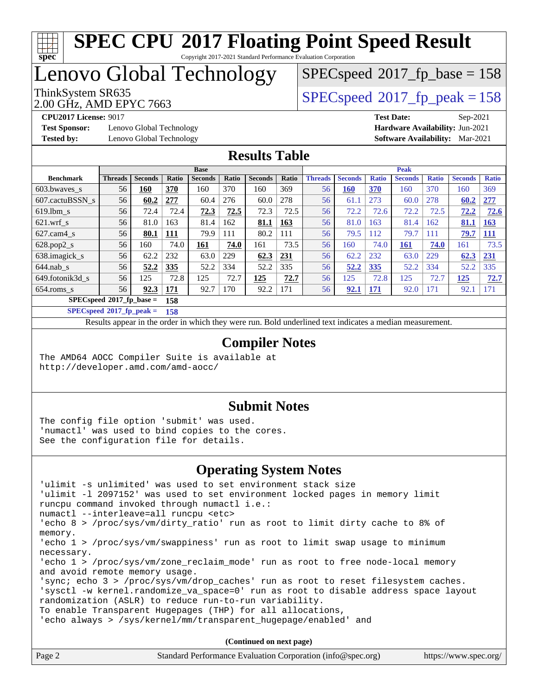# **[spec](http://www.spec.org/)**

# **[SPEC CPU](http://www.spec.org/auto/cpu2017/Docs/result-fields.html#SPECCPU2017FloatingPointSpeedResult)[2017 Floating Point Speed Result](http://www.spec.org/auto/cpu2017/Docs/result-fields.html#SPECCPU2017FloatingPointSpeedResult)**

Copyright 2017-2021 Standard Performance Evaluation Corporation

Lenovo Global Technology

 $SPECspeed^{\circledcirc}2017_fp\_base = 158$  $SPECspeed^{\circledcirc}2017_fp\_base = 158$ 

2.00 GHz, AMD EPYC 7663

ThinkSystem SR635<br>2.00 GHz, AMD EPVC 7663

**[Test Sponsor:](http://www.spec.org/auto/cpu2017/Docs/result-fields.html#TestSponsor)** Lenovo Global Technology **[Hardware Availability:](http://www.spec.org/auto/cpu2017/Docs/result-fields.html#HardwareAvailability)** Jun-2021 **[Tested by:](http://www.spec.org/auto/cpu2017/Docs/result-fields.html#Testedby)** Lenovo Global Technology **[Software Availability:](http://www.spec.org/auto/cpu2017/Docs/result-fields.html#SoftwareAvailability)** Mar-2021

**[CPU2017 License:](http://www.spec.org/auto/cpu2017/Docs/result-fields.html#CPU2017License)** 9017 **[Test Date:](http://www.spec.org/auto/cpu2017/Docs/result-fields.html#TestDate)** Sep-2021

#### **[Results Table](http://www.spec.org/auto/cpu2017/Docs/result-fields.html#ResultsTable)**

|                                   | <b>Base</b>    |                |            |                | <b>Peak</b> |                |            |                |                |              |                |              |                |              |
|-----------------------------------|----------------|----------------|------------|----------------|-------------|----------------|------------|----------------|----------------|--------------|----------------|--------------|----------------|--------------|
| <b>Benchmark</b>                  | <b>Threads</b> | <b>Seconds</b> | Ratio      | <b>Seconds</b> | Ratio       | <b>Seconds</b> | Ratio      | <b>Threads</b> | <b>Seconds</b> | <b>Ratio</b> | <b>Seconds</b> | <b>Ratio</b> | <b>Seconds</b> | <b>Ratio</b> |
| 603.bwaves_s                      | 56             | 160            | 370        | 160            | 370         | 160            | 369        | 56             | 160            | 370          | 160            | 370          | 160            | 369          |
| 607.cactuBSSN s                   | 56             | 60.2           | 277        | 60.4           | 276         | 60.0           | 278        | 56             | 61.1           | 273          | 60.0           | 278          | 60.2           | 277          |
| $619.1$ bm s                      | 56             | 72.4           | 72.4       | 72.3           | 72.5        | 72.3           | 72.5       | 56             | 72.2           | 72.6         | 72.2           | 72.5         | 72.2           | 72.6         |
| $621$ .wrf s                      | 56             | 81.0           | 163        | 81.4           | 162         | 81.1           | <u>163</u> | 56             | 81.0           | 163          | 81.4           | 162          | 81.1           | 163          |
| $627$ .cam4 s                     | 56             | 80.1           | 111        | 79.9           | 111         | 80.2           | 111        | 56             | 79.5           | 112          | 79.7           | 111          | 79.7           | <b>111</b>   |
| $628.pop2_s$                      | 56             | 160            | 74.0       | 161            | 74.0        | 161            | 73.5       | 56             | 160            | 74.0         | 161            | 74.0         | 161            | 73.5         |
| 638.imagick_s                     | 56             | 62.2           | 232        | 63.0           | 229         | 62.3           | 231        | 56             | 62.2           | 232          | 63.0           | 229          | 62.3           | 231          |
| $644$ .nab s                      | 56             | 52.2           | 335        | 52.2           | 334         | 52.2           | 335        | 56             | 52.2           | 335          | 52.2           | 334          | 52.2           | 335          |
| 649.fotonik3d s                   | 56             | 125            | 72.8       | 125            | 72.7        | 125            | 72.7       | 56             | 125            | 72.8         | 125            | 72.7         | 125            | 72.7         |
| $654$ .roms s                     | 56             | 92.3           | <b>171</b> | 92.7           | 170         | 92.2           | 171        | 56             | 92.1           | <u>171</u>   | 92.0           | 171          | 92.1           | 171          |
| $SPECspeed*2017$ fp base =<br>158 |                |                |            |                |             |                |            |                |                |              |                |              |                |              |

**[SPECspeed](http://www.spec.org/auto/cpu2017/Docs/result-fields.html#SPECspeed2017fppeak)[2017\\_fp\\_peak =](http://www.spec.org/auto/cpu2017/Docs/result-fields.html#SPECspeed2017fppeak) 158**

Results appear in the [order in which they were run.](http://www.spec.org/auto/cpu2017/Docs/result-fields.html#RunOrder) Bold underlined text [indicates a median measurement](http://www.spec.org/auto/cpu2017/Docs/result-fields.html#Median).

#### **[Compiler Notes](http://www.spec.org/auto/cpu2017/Docs/result-fields.html#CompilerNotes)**

The AMD64 AOCC Compiler Suite is available at <http://developer.amd.com/amd-aocc/>

#### **[Submit Notes](http://www.spec.org/auto/cpu2017/Docs/result-fields.html#SubmitNotes)**

The config file option 'submit' was used. 'numactl' was used to bind copies to the cores. See the configuration file for details.

#### **[Operating System Notes](http://www.spec.org/auto/cpu2017/Docs/result-fields.html#OperatingSystemNotes)**

| 'ulimit -s unlimited' was used to set environment stack size                        |
|-------------------------------------------------------------------------------------|
| 'ulimit -1 2097152' was used to set environment locked pages in memory limit        |
| runcpu command invoked through numactl i.e.:                                        |
| numactl --interleave=all runcpu <etc></etc>                                         |
| 'echo 8 > /proc/sys/vm/dirty_ratio' run as root to limit dirty cache to 8% of       |
| memory.                                                                             |
| 'echo 1 > /proc/sys/vm/swappiness' run as root to limit swap usage to minimum       |
| necessary.                                                                          |
| 'echo 1 > /proc/sys/vm/zone_reclaim_mode' run as root to free node-local memory     |
| and avoid remote memory usage.                                                      |
| 'sync; echo $3$ > /proc/sys/vm/drop caches' run as root to reset filesystem caches. |
| 'sysctl -w kernel.randomize_va_space=0' run as root to disable address space layout |
| randomization (ASLR) to reduce run-to-run variability.                              |
| To enable Transparent Hugepages (THP) for all allocations,                          |
| 'echo always > /sys/kernel/mm/transparent hugepage/enabled' and                     |
|                                                                                     |
|                                                                                     |

**(Continued on next page)**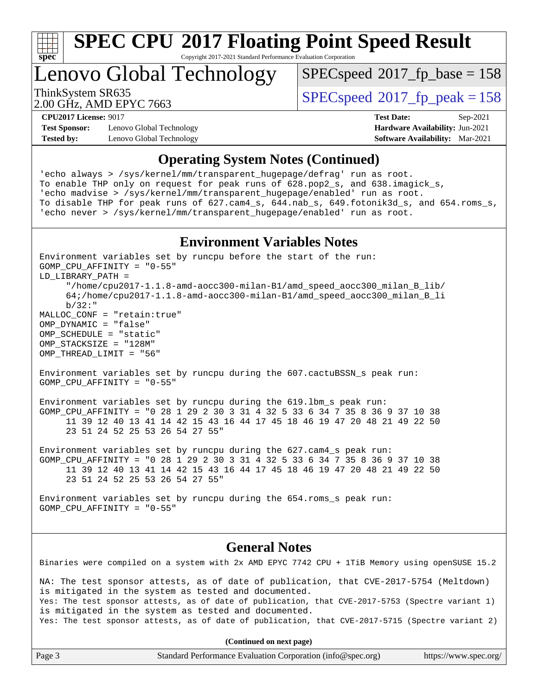

Copyright 2017-2021 Standard Performance Evaluation Corporation

Lenovo Global Technology

[SPECspeed](http://www.spec.org/auto/cpu2017/Docs/result-fields.html#SPECspeed2017fpbase)<sup>®</sup>2017 fp base = 158

2.00 GHz, AMD EPYC 7663

GOMP\_CPU\_AFFINITY = "0-55"

ThinkSystem SR635<br>2.00 CU<sub>2</sub> AMD EDVC 7663

**[Test Sponsor:](http://www.spec.org/auto/cpu2017/Docs/result-fields.html#TestSponsor)** Lenovo Global Technology **[Hardware Availability:](http://www.spec.org/auto/cpu2017/Docs/result-fields.html#HardwareAvailability)** Jun-2021 **[Tested by:](http://www.spec.org/auto/cpu2017/Docs/result-fields.html#Testedby)** Lenovo Global Technology **[Software Availability:](http://www.spec.org/auto/cpu2017/Docs/result-fields.html#SoftwareAvailability)** Mar-2021

**[CPU2017 License:](http://www.spec.org/auto/cpu2017/Docs/result-fields.html#CPU2017License)** 9017 **[Test Date:](http://www.spec.org/auto/cpu2017/Docs/result-fields.html#TestDate)** Sep-2021

#### **[Operating System Notes \(Continued\)](http://www.spec.org/auto/cpu2017/Docs/result-fields.html#OperatingSystemNotes)**

'echo always > /sys/kernel/mm/transparent\_hugepage/defrag' run as root. To enable THP only on request for peak runs of 628.pop2\_s, and 638.imagick\_s, 'echo madvise > /sys/kernel/mm/transparent\_hugepage/enabled' run as root. To disable THP for peak runs of 627.cam4\_s, 644.nab\_s, 649.fotonik3d\_s, and 654.roms\_s, 'echo never > /sys/kernel/mm/transparent\_hugepage/enabled' run as root.

#### **[Environment Variables Notes](http://www.spec.org/auto/cpu2017/Docs/result-fields.html#EnvironmentVariablesNotes)**

Environment variables set by runcpu before the start of the run:

LD\_LIBRARY\_PATH = "/home/cpu2017-1.1.8-amd-aocc300-milan-B1/amd\_speed\_aocc300\_milan\_B\_lib/ 64;/home/cpu2017-1.1.8-amd-aocc300-milan-B1/amd\_speed\_aocc300\_milan\_B\_li b/32:" MALLOC\_CONF = "retain:true" OMP\_DYNAMIC = "false" OMP\_SCHEDULE = "static" OMP\_STACKSIZE = "128M" OMP\_THREAD\_LIMIT = "56" Environment variables set by runcpu during the 607.cactuBSSN\_s peak run: GOMP\_CPU\_AFFINITY = "0-55" Environment variables set by runcpu during the 619.lbm\_s peak run: GOMP\_CPU\_AFFINITY = "0 28 1 29 2 30 3 31 4 32 5 33 6 34 7 35 8 36 9 37 10 38 11 39 12 40 13 41 14 42 15 43 16 44 17 45 18 46 19 47 20 48 21 49 22 50 23 51 24 52 25 53 26 54 27 55" Environment variables set by runcpu during the 627.cam4\_s peak run: GOMP\_CPU\_AFFINITY = "0 28 1 29 2 30 3 31 4 32 5 33 6 34 7 35 8 36 9 37 10 38 11 39 12 40 13 41 14 42 15 43 16 44 17 45 18 46 19 47 20 48 21 49 22 50 23 51 24 52 25 53 26 54 27 55" Environment variables set by runcpu during the 654.roms\_s peak run: GOMP\_CPU\_AFFINITY = "0-55" **[General Notes](http://www.spec.org/auto/cpu2017/Docs/result-fields.html#GeneralNotes)** Binaries were compiled on a system with 2x AMD EPYC 7742 CPU + 1TiB Memory using openSUSE 15.2 NA: The test sponsor attests, as of date of publication, that CVE-2017-5754 (Meltdown) is mitigated in the system as tested and documented. Yes: The test sponsor attests, as of date of publication, that CVE-2017-5753 (Spectre variant 1) is mitigated in the system as tested and documented. Yes: The test sponsor attests, as of date of publication, that CVE-2017-5715 (Spectre variant 2) **(Continued on next page)**

| Page 3<br>Standard Performance Evaluation Corporation (info@spec.org) | https://www.spec.org/ |
|-----------------------------------------------------------------------|-----------------------|
|-----------------------------------------------------------------------|-----------------------|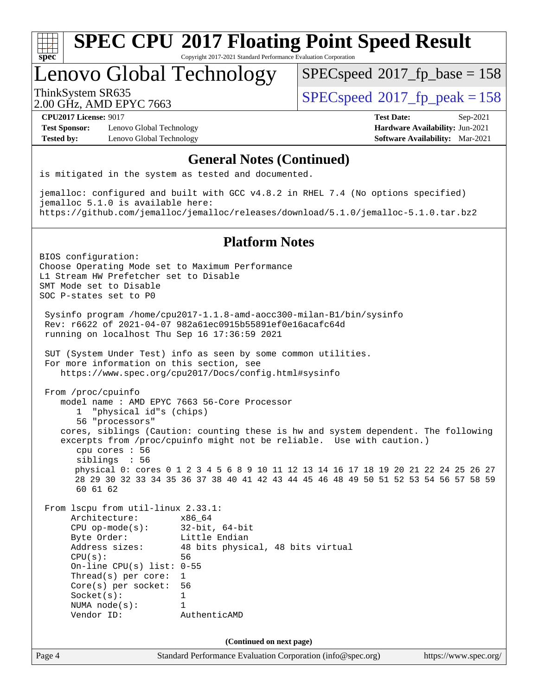

Copyright 2017-2021 Standard Performance Evaluation Corporation

Lenovo Global Technology

[SPECspeed](http://www.spec.org/auto/cpu2017/Docs/result-fields.html#SPECspeed2017fpbase)<sup>®</sup>2017 fp base = 158

2.00 GHz, AMD EPYC 7663

ThinkSystem SR635<br>2.00 CU<sub>2</sub> AMD EDVC 7663

**[Test Sponsor:](http://www.spec.org/auto/cpu2017/Docs/result-fields.html#TestSponsor)** Lenovo Global Technology **[Hardware Availability:](http://www.spec.org/auto/cpu2017/Docs/result-fields.html#HardwareAvailability)** Jun-2021 **[Tested by:](http://www.spec.org/auto/cpu2017/Docs/result-fields.html#Testedby)** Lenovo Global Technology **[Software Availability:](http://www.spec.org/auto/cpu2017/Docs/result-fields.html#SoftwareAvailability)** Mar-2021

**[CPU2017 License:](http://www.spec.org/auto/cpu2017/Docs/result-fields.html#CPU2017License)** 9017 **[Test Date:](http://www.spec.org/auto/cpu2017/Docs/result-fields.html#TestDate)** Sep-2021

#### **[General Notes \(Continued\)](http://www.spec.org/auto/cpu2017/Docs/result-fields.html#GeneralNotes)**

is mitigated in the system as tested and documented.

jemalloc: configured and built with GCC v4.8.2 in RHEL 7.4 (No options specified) jemalloc 5.1.0 is available here: <https://github.com/jemalloc/jemalloc/releases/download/5.1.0/jemalloc-5.1.0.tar.bz2>

#### **[Platform Notes](http://www.spec.org/auto/cpu2017/Docs/result-fields.html#PlatformNotes)**

Page 4 Standard Performance Evaluation Corporation [\(info@spec.org\)](mailto:info@spec.org) <https://www.spec.org/> BIOS configuration: Choose Operating Mode set to Maximum Performance L1 Stream HW Prefetcher set to Disable SMT Mode set to Disable SOC P-states set to P0 Sysinfo program /home/cpu2017-1.1.8-amd-aocc300-milan-B1/bin/sysinfo Rev: r6622 of 2021-04-07 982a61ec0915b55891ef0e16acafc64d running on localhost Thu Sep 16 17:36:59 2021 SUT (System Under Test) info as seen by some common utilities. For more information on this section, see <https://www.spec.org/cpu2017/Docs/config.html#sysinfo> From /proc/cpuinfo model name : AMD EPYC 7663 56-Core Processor 1 "physical id"s (chips) 56 "processors" cores, siblings (Caution: counting these is hw and system dependent. The following excerpts from /proc/cpuinfo might not be reliable. Use with caution.) cpu cores : 56 siblings : 56 physical 0: cores 0 1 2 3 4 5 6 8 9 10 11 12 13 14 16 17 18 19 20 21 22 24 25 26 27 28 29 30 32 33 34 35 36 37 38 40 41 42 43 44 45 46 48 49 50 51 52 53 54 56 57 58 59 60 61 62 From lscpu from util-linux 2.33.1: Architecture: x86\_64 CPU op-mode(s): 32-bit, 64-bit Byte Order: Little Endian Address sizes: 48 bits physical, 48 bits virtual CPU(s): 56 On-line CPU(s) list: 0-55 Thread(s) per core: 1 Core(s) per socket: 56 Socket(s): 1 NUMA node(s): 1 Vendor ID: AuthenticAMD **(Continued on next page)**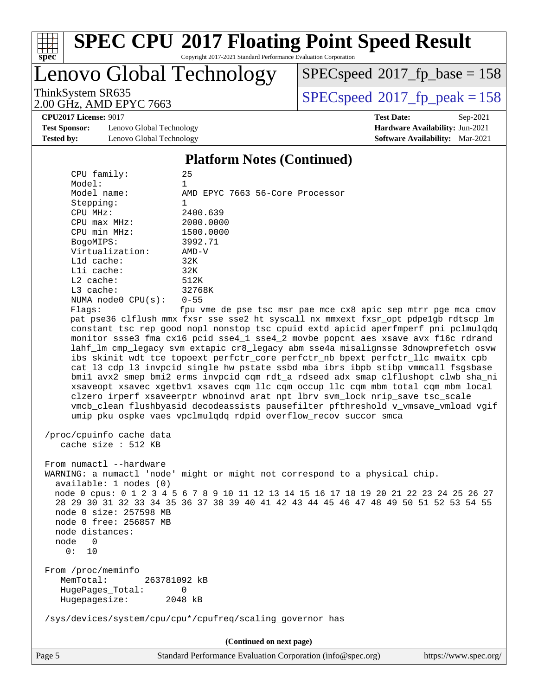

Copyright 2017-2021 Standard Performance Evaluation Corporation

Lenovo Global Technology

 $SPEC speed$ <sup>®</sup> $2017$ \_fp\_base = 158

2.00 GHz, AMD EPYC 7663

ThinkSystem SR635<br>2.00 GHz AMD EPYC 7663

**[CPU2017 License:](http://www.spec.org/auto/cpu2017/Docs/result-fields.html#CPU2017License)** 9017 **[Test Date:](http://www.spec.org/auto/cpu2017/Docs/result-fields.html#TestDate)** Sep-2021

**[Test Sponsor:](http://www.spec.org/auto/cpu2017/Docs/result-fields.html#TestSponsor)** Lenovo Global Technology **[Hardware Availability:](http://www.spec.org/auto/cpu2017/Docs/result-fields.html#HardwareAvailability)** Jun-2021 **[Tested by:](http://www.spec.org/auto/cpu2017/Docs/result-fields.html#Testedby)** Lenovo Global Technology **[Software Availability:](http://www.spec.org/auto/cpu2017/Docs/result-fields.html#SoftwareAvailability)** Mar-2021

**[Platform Notes \(Continued\)](http://www.spec.org/auto/cpu2017/Docs/result-fields.html#PlatformNotes)**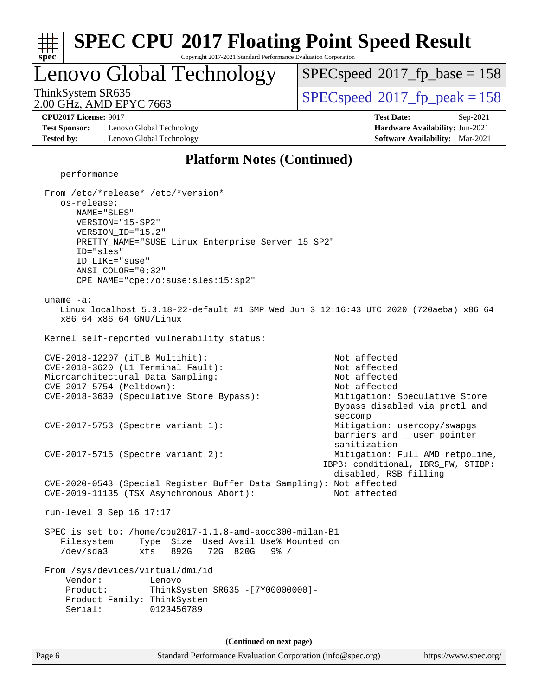#### Page 6 Standard Performance Evaluation Corporation [\(info@spec.org\)](mailto:info@spec.org) <https://www.spec.org/> **[spec](http://www.spec.org/) [SPEC CPU](http://www.spec.org/auto/cpu2017/Docs/result-fields.html#SPECCPU2017FloatingPointSpeedResult)[2017 Floating Point Speed Result](http://www.spec.org/auto/cpu2017/Docs/result-fields.html#SPECCPU2017FloatingPointSpeedResult)** Copyright 2017-2021 Standard Performance Evaluation Corporation Lenovo Global Technology 2.00 GHz, AMD EPYC 7663 ThinkSystem SR635 Speed<sup>®</sup>2017 fp\_peak = 158 [SPECspeed](http://www.spec.org/auto/cpu2017/Docs/result-fields.html#SPECspeed2017fpbase)<sup>®</sup>2017 fp base = 158 **[CPU2017 License:](http://www.spec.org/auto/cpu2017/Docs/result-fields.html#CPU2017License)** 9017 **[Test Date:](http://www.spec.org/auto/cpu2017/Docs/result-fields.html#TestDate)** Sep-2021 **[Test Sponsor:](http://www.spec.org/auto/cpu2017/Docs/result-fields.html#TestSponsor)** Lenovo Global Technology **[Hardware Availability:](http://www.spec.org/auto/cpu2017/Docs/result-fields.html#HardwareAvailability)** Jun-2021 **[Tested by:](http://www.spec.org/auto/cpu2017/Docs/result-fields.html#Testedby)** Lenovo Global Technology **[Software Availability:](http://www.spec.org/auto/cpu2017/Docs/result-fields.html#SoftwareAvailability)** Mar-2021 **[Platform Notes \(Continued\)](http://www.spec.org/auto/cpu2017/Docs/result-fields.html#PlatformNotes)** performance From /etc/\*release\* /etc/\*version\* os-release: NAME="SLES" VERSION="15-SP2" VERSION\_ID="15.2" PRETTY\_NAME="SUSE Linux Enterprise Server 15 SP2" ID="sles" ID\_LIKE="suse" ANSI\_COLOR="0;32" CPE\_NAME="cpe:/o:suse:sles:15:sp2" uname -a: Linux localhost 5.3.18-22-default #1 SMP Wed Jun 3 12:16:43 UTC 2020 (720aeba) x86\_64 x86\_64 x86\_64 GNU/Linux Kernel self-reported vulnerability status: CVE-2018-12207 (iTLB Multihit): Not affected  $CVE-2018-3620$  (L1 Terminal Fault): Microarchitectural Data Sampling: Not affected CVE-2017-5754 (Meltdown): Not affected CVE-2018-3639 (Speculative Store Bypass): Mitigation: Speculative Store Bypass disabled via prctl and seccomp CVE-2017-5753 (Spectre variant 1): Mitigation: usercopy/swapgs barriers and \_\_user pointer sanitization CVE-2017-5715 (Spectre variant 2): Mitigation: Full AMD retpoline, IBPB: conditional, IBRS\_FW, STIBP: disabled, RSB filling CVE-2020-0543 (Special Register Buffer Data Sampling): Not affected CVE-2019-11135 (TSX Asynchronous Abort): Not affected run-level 3 Sep 16 17:17 SPEC is set to: /home/cpu2017-1.1.8-amd-aocc300-milan-B1 Filesystem Type Size Used Avail Use% Mounted on /dev/sda3 xfs 892G 72G 820G 9% / From /sys/devices/virtual/dmi/id Vendor: Lenovo Product: ThinkSystem SR635 -[7Y00000000]- Product Family: ThinkSystem Serial: 0123456789 **(Continued on next page)**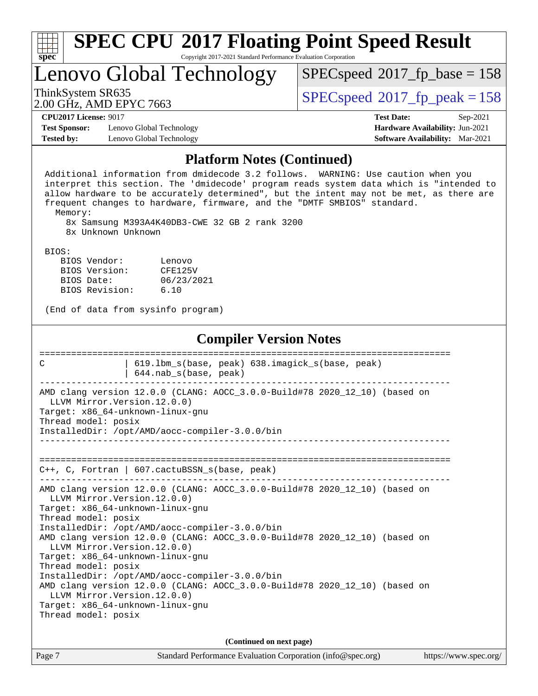| <b>SPEC CPU®2017 Floating Point Speed Result</b><br>spec<br>Copyright 2017-2021 Standard Performance Evaluation Corporation                                                                                                                                                                                                                                                                                                                         |                                                                  |  |  |  |  |  |
|-----------------------------------------------------------------------------------------------------------------------------------------------------------------------------------------------------------------------------------------------------------------------------------------------------------------------------------------------------------------------------------------------------------------------------------------------------|------------------------------------------------------------------|--|--|--|--|--|
| Lenovo Global Technology                                                                                                                                                                                                                                                                                                                                                                                                                            | $SPEC speed^{\circ}2017$ [p_base = 158                           |  |  |  |  |  |
| ThinkSystem SR635<br>2.00 GHz, AMD EPYC 7663                                                                                                                                                                                                                                                                                                                                                                                                        | $SPEC speed^{\circ}2017$ fp peak = 158                           |  |  |  |  |  |
| <b>CPU2017 License: 9017</b><br><b>Test Sponsor:</b><br>Lenovo Global Technology                                                                                                                                                                                                                                                                                                                                                                    | <b>Test Date:</b><br>Sep-2021<br>Hardware Availability: Jun-2021 |  |  |  |  |  |
| Tested by:<br>Lenovo Global Technology                                                                                                                                                                                                                                                                                                                                                                                                              | <b>Software Availability:</b> Mar-2021                           |  |  |  |  |  |
| <b>Platform Notes (Continued)</b><br>Additional information from dmidecode 3.2 follows. WARNING: Use caution when you<br>interpret this section. The 'dmidecode' program reads system data which is "intended to<br>allow hardware to be accurately determined", but the intent may not be met, as there are<br>frequent changes to hardware, firmware, and the "DMTF SMBIOS" standard.<br>Memory:<br>8x Samsung M393A4K40DB3-CWE 32 GB 2 rank 3200 |                                                                  |  |  |  |  |  |
| 8x Unknown Unknown                                                                                                                                                                                                                                                                                                                                                                                                                                  |                                                                  |  |  |  |  |  |
| BIOS:<br>BIOS Vendor:<br>Lenovo<br>BIOS Version:<br>CFE125V<br>06/23/2021<br>BIOS Date:<br>BIOS Revision:<br>6.10<br>(End of data from sysinfo program)                                                                                                                                                                                                                                                                                             |                                                                  |  |  |  |  |  |
| <b>Compiler Version Notes</b>                                                                                                                                                                                                                                                                                                                                                                                                                       |                                                                  |  |  |  |  |  |
| 619.1bm_s(base, peak) 638.imagick_s(base, peak)<br>C<br>644.nab_s(base, peak)                                                                                                                                                                                                                                                                                                                                                                       |                                                                  |  |  |  |  |  |
| AMD clang version 12.0.0 (CLANG: AOCC_3.0.0-Build#78 2020_12_10) (based on<br>LLVM Mirror. Version. 12.0.0)<br>Target: x86_64-unknown-linux-gnu<br>Thread model: posix<br>InstalledDir: /opt/AMD/aocc-compiler-3.0.0/bin<br>____________________________                                                                                                                                                                                            |                                                                  |  |  |  |  |  |
| C++, C, Fortran   607.cactuBSSN_s(base, peak)                                                                                                                                                                                                                                                                                                                                                                                                       |                                                                  |  |  |  |  |  |
| AMD clang version 12.0.0 (CLANG: AOCC_3.0.0-Build#78 2020_12_10) (based on<br>LLVM Mirror.Version.12.0.0)<br>Target: x86_64-unknown-linux-gnu<br>Thread model: posix                                                                                                                                                                                                                                                                                |                                                                  |  |  |  |  |  |
| InstalledDir: /opt/AMD/aocc-compiler-3.0.0/bin<br>AMD clang version 12.0.0 (CLANG: AOCC_3.0.0-Build#78 2020_12_10) (based on<br>LLVM Mirror. Version. 12.0.0)<br>Target: x86_64-unknown-linux-gnu<br>Thread model: posix                                                                                                                                                                                                                            |                                                                  |  |  |  |  |  |
| InstalledDir: /opt/AMD/aocc-compiler-3.0.0/bin<br>AMD clang version 12.0.0 (CLANG: AOCC_3.0.0-Build#78 2020_12_10) (based on<br>LLVM Mirror. Version. 12.0.0)<br>Target: x86_64-unknown-linux-gnu<br>Thread model: posix                                                                                                                                                                                                                            |                                                                  |  |  |  |  |  |
|                                                                                                                                                                                                                                                                                                                                                                                                                                                     |                                                                  |  |  |  |  |  |
| (Continued on next page)<br>Page 7<br>Standard Performance Evaluation Corporation (info@spec.org)                                                                                                                                                                                                                                                                                                                                                   | https://www.spec.org/                                            |  |  |  |  |  |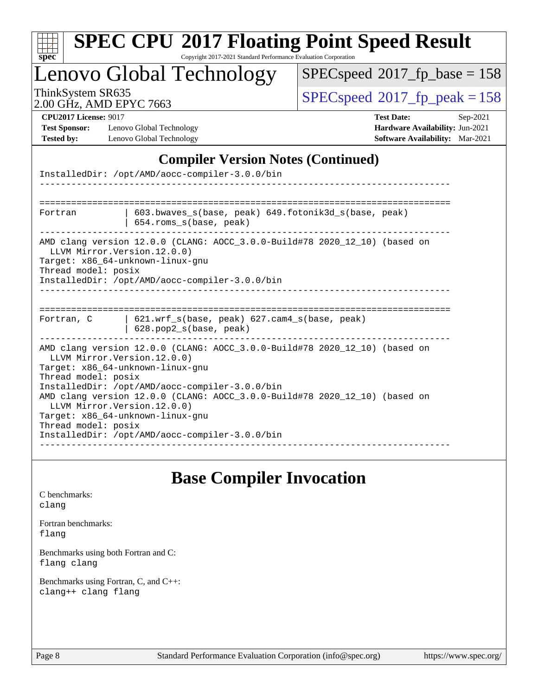|                                                                           | enovo Global Technology                                                                                           | $SPEC speed^{\circ}2017\_fp\_base = 158$                                                                          |
|---------------------------------------------------------------------------|-------------------------------------------------------------------------------------------------------------------|-------------------------------------------------------------------------------------------------------------------|
| ThinkSystem SR635<br>2.00 GHz, AMD EPYC 7663                              |                                                                                                                   | $SPEC speed^{\circ}2017$ _fp_peak = 158                                                                           |
| <b>CPU2017 License: 9017</b><br><b>Test Sponsor:</b><br><b>Tested by:</b> | Lenovo Global Technology<br>Lenovo Global Technology                                                              | <b>Test Date:</b><br>Sep-2021<br><b>Hardware Availability: Jun-2021</b><br><b>Software Availability:</b> Mar-2021 |
|                                                                           | InstalledDir: /opt/AMD/aocc-compiler-3.0.0/bin                                                                    | <b>Compiler Version Notes (Continued)</b>                                                                         |
| Fortran                                                                   | 654.roms_s(base, peak)                                                                                            | 603.bwaves s(base, peak) 649.fotonik3d s(base, peak)                                                              |
| Thread model: posix                                                       | LLVM Mirror.Version.12.0.0)<br>Target: x86 64-unknown-linux-gnu<br>InstalledDir: /opt/AMD/aocc-compiler-3.0.0/bin | AMD clang version 12.0.0 (CLANG: AOCC_3.0.0-Build#78 2020_12_10) (based on                                        |
|                                                                           |                                                                                                                   |                                                                                                                   |
| Fortran, C                                                                | $621.wrf$ s(base, peak) $627.cam4$ s(base, peak)<br>628.pop2_s(base, peak)                                        |                                                                                                                   |

### **[Base Compiler Invocation](http://www.spec.org/auto/cpu2017/Docs/result-fields.html#BaseCompilerInvocation)**

[C benchmarks](http://www.spec.org/auto/cpu2017/Docs/result-fields.html#Cbenchmarks): [clang](http://www.spec.org/cpu2017/results/res2021q4/cpu2017-20210927-29604.flags.html#user_CCbase_clang-c)

[Fortran benchmarks](http://www.spec.org/auto/cpu2017/Docs/result-fields.html#Fortranbenchmarks): [flang](http://www.spec.org/cpu2017/results/res2021q4/cpu2017-20210927-29604.flags.html#user_FCbase_flang)

[Benchmarks using both Fortran and C](http://www.spec.org/auto/cpu2017/Docs/result-fields.html#BenchmarksusingbothFortranandC): [flang](http://www.spec.org/cpu2017/results/res2021q4/cpu2017-20210927-29604.flags.html#user_CC_FCbase_flang) [clang](http://www.spec.org/cpu2017/results/res2021q4/cpu2017-20210927-29604.flags.html#user_CC_FCbase_clang-c)

[Benchmarks using Fortran, C, and C++:](http://www.spec.org/auto/cpu2017/Docs/result-fields.html#BenchmarksusingFortranCandCXX) [clang++](http://www.spec.org/cpu2017/results/res2021q4/cpu2017-20210927-29604.flags.html#user_CC_CXX_FCbase_clang-cpp) [clang](http://www.spec.org/cpu2017/results/res2021q4/cpu2017-20210927-29604.flags.html#user_CC_CXX_FCbase_clang-c) [flang](http://www.spec.org/cpu2017/results/res2021q4/cpu2017-20210927-29604.flags.html#user_CC_CXX_FCbase_flang)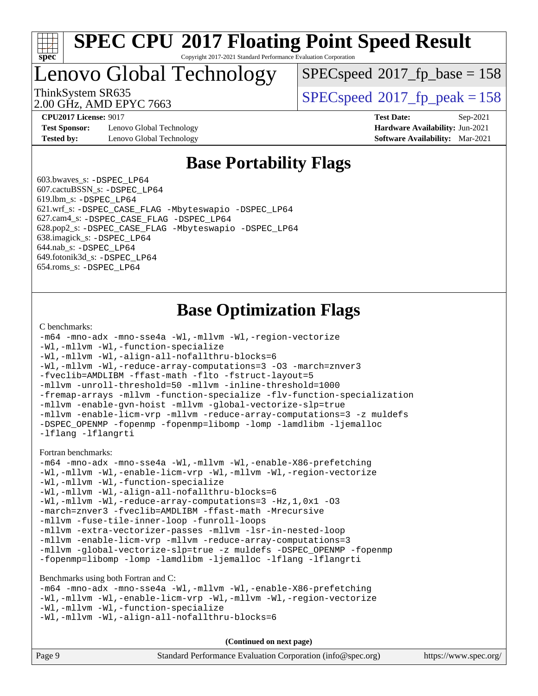

Copyright 2017-2021 Standard Performance Evaluation Corporation

Lenovo Global Technology

[SPECspeed](http://www.spec.org/auto/cpu2017/Docs/result-fields.html#SPECspeed2017fpbase)<sup>®</sup>2017 fp base = 158

2.00 GHz, AMD EPYC 7663

ThinkSystem SR635<br>2.00 CU<sub>2</sub> AMD EDVC 7663

**[Test Sponsor:](http://www.spec.org/auto/cpu2017/Docs/result-fields.html#TestSponsor)** Lenovo Global Technology **[Hardware Availability:](http://www.spec.org/auto/cpu2017/Docs/result-fields.html#HardwareAvailability)** Jun-2021 **[Tested by:](http://www.spec.org/auto/cpu2017/Docs/result-fields.html#Testedby)** Lenovo Global Technology **[Software Availability:](http://www.spec.org/auto/cpu2017/Docs/result-fields.html#SoftwareAvailability)** Mar-2021

**[CPU2017 License:](http://www.spec.org/auto/cpu2017/Docs/result-fields.html#CPU2017License)** 9017 **[Test Date:](http://www.spec.org/auto/cpu2017/Docs/result-fields.html#TestDate)** Sep-2021

### **[Base Portability Flags](http://www.spec.org/auto/cpu2017/Docs/result-fields.html#BasePortabilityFlags)**

 603.bwaves\_s: [-DSPEC\\_LP64](http://www.spec.org/cpu2017/results/res2021q4/cpu2017-20210927-29604.flags.html#suite_baseEXTRA_PORTABILITY603_bwaves_s_DSPEC_LP64) 607.cactuBSSN\_s: [-DSPEC\\_LP64](http://www.spec.org/cpu2017/results/res2021q4/cpu2017-20210927-29604.flags.html#suite_baseEXTRA_PORTABILITY607_cactuBSSN_s_DSPEC_LP64) 619.lbm\_s: [-DSPEC\\_LP64](http://www.spec.org/cpu2017/results/res2021q4/cpu2017-20210927-29604.flags.html#suite_baseEXTRA_PORTABILITY619_lbm_s_DSPEC_LP64) 621.wrf\_s: [-DSPEC\\_CASE\\_FLAG](http://www.spec.org/cpu2017/results/res2021q4/cpu2017-20210927-29604.flags.html#b621.wrf_s_baseCPORTABILITY_DSPEC_CASE_FLAG) [-Mbyteswapio](http://www.spec.org/cpu2017/results/res2021q4/cpu2017-20210927-29604.flags.html#user_baseFPORTABILITY621_wrf_s_F-mbyteswapio) [-DSPEC\\_LP64](http://www.spec.org/cpu2017/results/res2021q4/cpu2017-20210927-29604.flags.html#suite_baseEXTRA_PORTABILITY621_wrf_s_DSPEC_LP64) 627.cam4\_s: [-DSPEC\\_CASE\\_FLAG](http://www.spec.org/cpu2017/results/res2021q4/cpu2017-20210927-29604.flags.html#b627.cam4_s_basePORTABILITY_DSPEC_CASE_FLAG) [-DSPEC\\_LP64](http://www.spec.org/cpu2017/results/res2021q4/cpu2017-20210927-29604.flags.html#suite_baseEXTRA_PORTABILITY627_cam4_s_DSPEC_LP64) 628.pop2\_s: [-DSPEC\\_CASE\\_FLAG](http://www.spec.org/cpu2017/results/res2021q4/cpu2017-20210927-29604.flags.html#b628.pop2_s_baseCPORTABILITY_DSPEC_CASE_FLAG) [-Mbyteswapio](http://www.spec.org/cpu2017/results/res2021q4/cpu2017-20210927-29604.flags.html#user_baseFPORTABILITY628_pop2_s_F-mbyteswapio) [-DSPEC\\_LP64](http://www.spec.org/cpu2017/results/res2021q4/cpu2017-20210927-29604.flags.html#suite_baseEXTRA_PORTABILITY628_pop2_s_DSPEC_LP64) 638.imagick\_s: [-DSPEC\\_LP64](http://www.spec.org/cpu2017/results/res2021q4/cpu2017-20210927-29604.flags.html#suite_baseEXTRA_PORTABILITY638_imagick_s_DSPEC_LP64) 644.nab\_s: [-DSPEC\\_LP64](http://www.spec.org/cpu2017/results/res2021q4/cpu2017-20210927-29604.flags.html#suite_baseEXTRA_PORTABILITY644_nab_s_DSPEC_LP64) 649.fotonik3d\_s: [-DSPEC\\_LP64](http://www.spec.org/cpu2017/results/res2021q4/cpu2017-20210927-29604.flags.html#suite_baseEXTRA_PORTABILITY649_fotonik3d_s_DSPEC_LP64) 654.roms\_s: [-DSPEC\\_LP64](http://www.spec.org/cpu2017/results/res2021q4/cpu2017-20210927-29604.flags.html#suite_baseEXTRA_PORTABILITY654_roms_s_DSPEC_LP64)

### **[Base Optimization Flags](http://www.spec.org/auto/cpu2017/Docs/result-fields.html#BaseOptimizationFlags)**

#### [C benchmarks](http://www.spec.org/auto/cpu2017/Docs/result-fields.html#Cbenchmarks):

```
-m64 -mno-adx -mno-sse4a -Wl,-mllvm -Wl,-region-vectorize
-Wl,-mllvm -Wl,-function-specialize
-Wl,-mllvm -Wl,-align-all-nofallthru-blocks=6
-Wl,-mllvm -Wl,-reduce-array-computations=3 -O3 -march=znver3
-fveclib=AMDLIBM -ffast-math -flto -fstruct-layout=5
-mllvm -unroll-threshold=50 -mllvm -inline-threshold=1000
-fremap-arrays -mllvm -function-specialize -flv-function-specialization
-mllvm -enable-gvn-hoist -mllvm -global-vectorize-slp=true
-mllvm -enable-licm-vrp -mllvm -reduce-array-computations=3 -z muldefs
-DSPEC_OPENMP -fopenmp -fopenmp=libomp -lomp -lamdlibm -ljemalloc
-lflang -lflangrti
Fortran benchmarks: 
-m64 -mno-adx -mno-sse4a -Wl,-mllvm -Wl,-enable-X86-prefetching
-Wl,-mllvm -Wl,-enable-licm-vrp -Wl,-mllvm -Wl,-region-vectorize
-Wl,-mllvm -Wl,-function-specialize
-Wl,-mllvm -Wl,-align-all-nofallthru-blocks=6
-Wl,-mllvm -Wl,-reduce-array-computations=3 -Hz,1,0x1 -O3
-march=znver3 -fveclib=AMDLIBM -ffast-math -Mrecursive
-mllvm -fuse-tile-inner-loop -funroll-loops
-mllvm -extra-vectorizer-passes -mllvm -lsr-in-nested-loop
-mllvm -enable-licm-vrp -mllvm -reduce-array-computations=3
-mllvm -global-vectorize-slp=true -z muldefs -DSPEC_OPENMP -fopenmp
-fopenmp=libomp -lomp -lamdlibm -ljemalloc -lflang -lflangrti
Benchmarks using both Fortran and C: 
-m64 -mno-adx -mno-sse4a -Wl,-mllvm -Wl,-enable-X86-prefetching
-Wl,-mllvm -Wl,-enable-licm-vrp -Wl,-mllvm -Wl,-region-vectorize
-Wl,-mllvm -Wl,-function-specialize
```

```
-Wl,-mllvm -Wl,-align-all-nofallthru-blocks=6
```
**(Continued on next page)**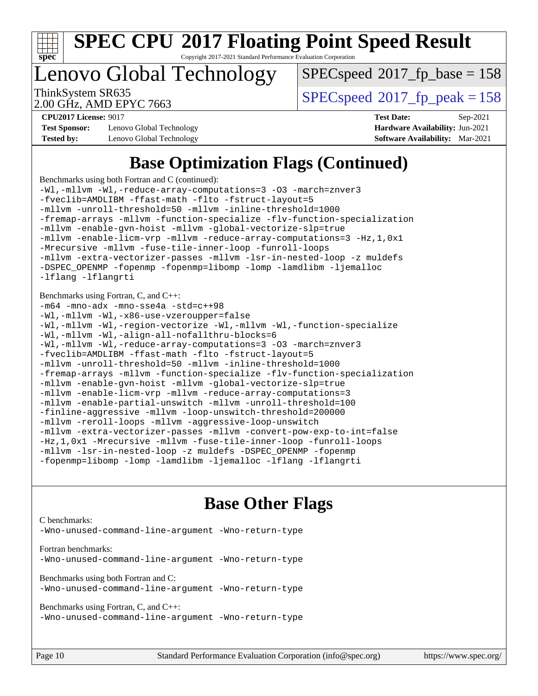

Copyright 2017-2021 Standard Performance Evaluation Corporation

Lenovo Global Technology

[SPECspeed](http://www.spec.org/auto/cpu2017/Docs/result-fields.html#SPECspeed2017fpbase)<sup>®</sup>2017 fp base = 158

2.00 GHz, AMD EPYC 7663

ThinkSystem SR635<br>2.00 CU<sub>2</sub> AMD EDVC 7663

**[Test Sponsor:](http://www.spec.org/auto/cpu2017/Docs/result-fields.html#TestSponsor)** Lenovo Global Technology **[Hardware Availability:](http://www.spec.org/auto/cpu2017/Docs/result-fields.html#HardwareAvailability)** Jun-2021 **[Tested by:](http://www.spec.org/auto/cpu2017/Docs/result-fields.html#Testedby)** Lenovo Global Technology **[Software Availability:](http://www.spec.org/auto/cpu2017/Docs/result-fields.html#SoftwareAvailability)** Mar-2021

**[CPU2017 License:](http://www.spec.org/auto/cpu2017/Docs/result-fields.html#CPU2017License)** 9017 **[Test Date:](http://www.spec.org/auto/cpu2017/Docs/result-fields.html#TestDate)** Sep-2021

### **[Base Optimization Flags \(Continued\)](http://www.spec.org/auto/cpu2017/Docs/result-fields.html#BaseOptimizationFlags)**

[Benchmarks using both Fortran and C](http://www.spec.org/auto/cpu2017/Docs/result-fields.html#BenchmarksusingbothFortranandC) (continued):

[-Wl,-mllvm -Wl,-reduce-array-computations=3](http://www.spec.org/cpu2017/results/res2021q4/cpu2017-20210927-29604.flags.html#user_CC_FCbase_F-reduce-array-computations_b882aefe7a5dda4e33149f6299762b9a720dace3e498e13756f4c04e5a19edf5315c1f3993de2e61ec41e8c206231f84e05da7040e1bb5d69ba27d10a12507e4) [-O3](http://www.spec.org/cpu2017/results/res2021q4/cpu2017-20210927-29604.flags.html#user_CC_FCbase_F-O3) [-march=znver3](http://www.spec.org/cpu2017/results/res2021q4/cpu2017-20210927-29604.flags.html#user_CC_FCbase_aocc-march) [-fveclib=AMDLIBM](http://www.spec.org/cpu2017/results/res2021q4/cpu2017-20210927-29604.flags.html#user_CC_FCbase_F-fveclib) [-ffast-math](http://www.spec.org/cpu2017/results/res2021q4/cpu2017-20210927-29604.flags.html#user_CC_FCbase_aocc-ffast-math) [-flto](http://www.spec.org/cpu2017/results/res2021q4/cpu2017-20210927-29604.flags.html#user_CC_FCbase_aocc-flto) [-fstruct-layout=5](http://www.spec.org/cpu2017/results/res2021q4/cpu2017-20210927-29604.flags.html#user_CC_FCbase_F-struct-layout) [-mllvm -unroll-threshold=50](http://www.spec.org/cpu2017/results/res2021q4/cpu2017-20210927-29604.flags.html#user_CC_FCbase_F-unroll-threshold_458874500b2c105d6d5cb4d7a611c40e2b16e9e3d26b355fea72d644c3673b4de4b3932662f0ed3dbec75c491a13da2d2ca81180bd779dc531083ef1e1e549dc) [-mllvm -inline-threshold=1000](http://www.spec.org/cpu2017/results/res2021q4/cpu2017-20210927-29604.flags.html#user_CC_FCbase_F-inline-threshold_b7832241b0a6397e4ecdbaf0eb7defdc10f885c2a282fa3240fdc99844d543fda39cf8a4a9dccf68cf19b5438ac3b455264f478df15da0f4988afa40d8243bab) [-fremap-arrays](http://www.spec.org/cpu2017/results/res2021q4/cpu2017-20210927-29604.flags.html#user_CC_FCbase_F-fremap-arrays) [-mllvm -function-specialize](http://www.spec.org/cpu2017/results/res2021q4/cpu2017-20210927-29604.flags.html#user_CC_FCbase_F-function-specialize_233b3bdba86027f1b094368157e481c5bc59f40286dc25bfadc1858dcd5745c24fd30d5f188710db7fea399bcc9f44a80b3ce3aacc70a8870250c3ae5e1f35b8) [-flv-function-specialization](http://www.spec.org/cpu2017/results/res2021q4/cpu2017-20210927-29604.flags.html#user_CC_FCbase_F-flv-function-specialization) [-mllvm -enable-gvn-hoist](http://www.spec.org/cpu2017/results/res2021q4/cpu2017-20210927-29604.flags.html#user_CC_FCbase_F-enable-gvn-hoist_e5856354646dd6ca1333a0ad99b817e4cf8932b91b82809fd8fd47ceff7b22a89eba5c98fd3e3fa5200368fd772cec3dd56abc3c8f7b655a71b9f9848dddedd5) [-mllvm -global-vectorize-slp=true](http://www.spec.org/cpu2017/results/res2021q4/cpu2017-20210927-29604.flags.html#user_CC_FCbase_F-global-vectorize-slp_f701c289ed3fc79483844cad3672606d268e3123d2651e764a36e57810b634b30ff7af25c43ce4288d0e4c1cc47ba156fce6ed971bc0d0e53c4c557f353d3dec) [-mllvm -enable-licm-vrp](http://www.spec.org/cpu2017/results/res2021q4/cpu2017-20210927-29604.flags.html#user_CC_FCbase_F-enable-licm-vrp_82fd83574dee81d8c8043a1355024a53ba7c23d449242d72368fd778ae4cd8625fb6c8e473e88c632367ccc13b0c321b9a13b8db897fcfc1592cf0205fd356b5) [-mllvm -reduce-array-computations=3](http://www.spec.org/cpu2017/results/res2021q4/cpu2017-20210927-29604.flags.html#user_CC_FCbase_F-reduce-array-computations) [-Hz,1,0x1](http://www.spec.org/cpu2017/results/res2021q4/cpu2017-20210927-29604.flags.html#user_CC_FCbase_F-save-array-metadata) [-Mrecursive](http://www.spec.org/cpu2017/results/res2021q4/cpu2017-20210927-29604.flags.html#user_CC_FCbase_F-mrecursive) [-mllvm -fuse-tile-inner-loop](http://www.spec.org/cpu2017/results/res2021q4/cpu2017-20210927-29604.flags.html#user_CC_FCbase_F-fuse-tile-inner-loop_a96ec74f3ab7113ca948afab2f7df720fdaa7c20bd316986c0fe40ef5f82f2613ee26bde25c6cf421f527cd549c2b0b12b7e2cdf22e7a5a52600673d8851f1df) [-funroll-loops](http://www.spec.org/cpu2017/results/res2021q4/cpu2017-20210927-29604.flags.html#user_CC_FCbase_aocc-unroll-loops) [-mllvm -extra-vectorizer-passes](http://www.spec.org/cpu2017/results/res2021q4/cpu2017-20210927-29604.flags.html#user_CC_FCbase_F-extra-vectorizer-passes_4bb9f90681e045f5ce38050c5c48e52c5a95ed819cbc44e12f6b389a91a38f1bfb7d9f51b06906bf2bd7ccd881019f6383c418982c71e3a142c10a060056d555) [-mllvm -lsr-in-nested-loop](http://www.spec.org/cpu2017/results/res2021q4/cpu2017-20210927-29604.flags.html#user_CC_FCbase_F-lsr-in-nested-loop_73f878522b3ccb742989d8e6de767863b372c2128b38f859376ee3fb883bc58dcc0955f53f856eb534bcc3be9d53927141e78ef6b7f1398bb0518a7b833043eb) [-z muldefs](http://www.spec.org/cpu2017/results/res2021q4/cpu2017-20210927-29604.flags.html#user_CC_FCbase_aocc-muldefs) [-DSPEC\\_OPENMP](http://www.spec.org/cpu2017/results/res2021q4/cpu2017-20210927-29604.flags.html#suite_CC_FCbase_DSPEC_OPENMP) [-fopenmp](http://www.spec.org/cpu2017/results/res2021q4/cpu2017-20210927-29604.flags.html#user_CC_FCbase_aocc-fopenmp) [-fopenmp=libomp](http://www.spec.org/cpu2017/results/res2021q4/cpu2017-20210927-29604.flags.html#user_CC_FCbase_aocc-fopenmp_3eb6ab80166bcc84161ff8c20c8d5bc344f88119f45620444596454f7d72e99b7a0ceefc2d1b4d190bd07306bbfdfc20f11f5a2dc69c9b03c72239f8406741c3) [-lomp](http://www.spec.org/cpu2017/results/res2021q4/cpu2017-20210927-29604.flags.html#user_CC_FCbase_F-lomp) [-lamdlibm](http://www.spec.org/cpu2017/results/res2021q4/cpu2017-20210927-29604.flags.html#user_CC_FCbase_F-lamdlibm) [-ljemalloc](http://www.spec.org/cpu2017/results/res2021q4/cpu2017-20210927-29604.flags.html#user_CC_FCbase_jemalloc-lib) [-lflang](http://www.spec.org/cpu2017/results/res2021q4/cpu2017-20210927-29604.flags.html#user_CC_FCbase_F-lflang) [-lflangrti](http://www.spec.org/cpu2017/results/res2021q4/cpu2017-20210927-29604.flags.html#user_CC_FCbase_F-lflangrti)

[Benchmarks using Fortran, C, and C++:](http://www.spec.org/auto/cpu2017/Docs/result-fields.html#BenchmarksusingFortranCandCXX)

[-m64](http://www.spec.org/cpu2017/results/res2021q4/cpu2017-20210927-29604.flags.html#user_CC_CXX_FCbase_F-m64) [-mno-adx](http://www.spec.org/cpu2017/results/res2021q4/cpu2017-20210927-29604.flags.html#user_CC_CXX_FCbase_F-mno-adx) [-mno-sse4a](http://www.spec.org/cpu2017/results/res2021q4/cpu2017-20210927-29604.flags.html#user_CC_CXX_FCbase_F-mno-sse4a) [-std=c++98](http://www.spec.org/cpu2017/results/res2021q4/cpu2017-20210927-29604.flags.html#user_CC_CXX_FCbase_std-cpp) [-Wl,-mllvm -Wl,-x86-use-vzeroupper=false](http://www.spec.org/cpu2017/results/res2021q4/cpu2017-20210927-29604.flags.html#user_CC_CXX_FCbase_F-use-vzeroupper_f792211b0552b0142c11cf651c85f88d7eca3e3e6d4ab29ab8b0b7be9c7d83df7aebb846b5dded1424ec84d39acb59d058815f97bc3ae9de4ba00ee4e2945c83) [-Wl,-mllvm -Wl,-region-vectorize](http://www.spec.org/cpu2017/results/res2021q4/cpu2017-20210927-29604.flags.html#user_CC_CXX_FCbase_F-region-vectorize_fb6c6b5aa293c88efc6c7c2b52b20755e943585b1fe8658c35afef78727fff56e1a56891413c30e36b8e2a6f9a71126986319243e80eb6110b78b288f533c52b) [-Wl,-mllvm -Wl,-function-specialize](http://www.spec.org/cpu2017/results/res2021q4/cpu2017-20210927-29604.flags.html#user_CC_CXX_FCbase_F-function-specialize_7e7e661e57922243ee67c9a1251cb8910e607325179a0ce7f2884e09a6f5d4a5ef0ae4f37e8a2a11c95fc48e931f06dc2b6016f14b511fcb441e048bef1b065a) [-Wl,-mllvm -Wl,-align-all-nofallthru-blocks=6](http://www.spec.org/cpu2017/results/res2021q4/cpu2017-20210927-29604.flags.html#user_CC_CXX_FCbase_F-align-all-nofallthru-blocks) [-Wl,-mllvm -Wl,-reduce-array-computations=3](http://www.spec.org/cpu2017/results/res2021q4/cpu2017-20210927-29604.flags.html#user_CC_CXX_FCbase_F-reduce-array-computations_b882aefe7a5dda4e33149f6299762b9a720dace3e498e13756f4c04e5a19edf5315c1f3993de2e61ec41e8c206231f84e05da7040e1bb5d69ba27d10a12507e4) [-O3](http://www.spec.org/cpu2017/results/res2021q4/cpu2017-20210927-29604.flags.html#user_CC_CXX_FCbase_F-O3) [-march=znver3](http://www.spec.org/cpu2017/results/res2021q4/cpu2017-20210927-29604.flags.html#user_CC_CXX_FCbase_aocc-march) [-fveclib=AMDLIBM](http://www.spec.org/cpu2017/results/res2021q4/cpu2017-20210927-29604.flags.html#user_CC_CXX_FCbase_F-fveclib) [-ffast-math](http://www.spec.org/cpu2017/results/res2021q4/cpu2017-20210927-29604.flags.html#user_CC_CXX_FCbase_aocc-ffast-math) [-flto](http://www.spec.org/cpu2017/results/res2021q4/cpu2017-20210927-29604.flags.html#user_CC_CXX_FCbase_aocc-flto) [-fstruct-layout=5](http://www.spec.org/cpu2017/results/res2021q4/cpu2017-20210927-29604.flags.html#user_CC_CXX_FCbase_F-struct-layout) [-mllvm -unroll-threshold=50](http://www.spec.org/cpu2017/results/res2021q4/cpu2017-20210927-29604.flags.html#user_CC_CXX_FCbase_F-unroll-threshold_458874500b2c105d6d5cb4d7a611c40e2b16e9e3d26b355fea72d644c3673b4de4b3932662f0ed3dbec75c491a13da2d2ca81180bd779dc531083ef1e1e549dc) [-mllvm -inline-threshold=1000](http://www.spec.org/cpu2017/results/res2021q4/cpu2017-20210927-29604.flags.html#user_CC_CXX_FCbase_F-inline-threshold_b7832241b0a6397e4ecdbaf0eb7defdc10f885c2a282fa3240fdc99844d543fda39cf8a4a9dccf68cf19b5438ac3b455264f478df15da0f4988afa40d8243bab) [-fremap-arrays](http://www.spec.org/cpu2017/results/res2021q4/cpu2017-20210927-29604.flags.html#user_CC_CXX_FCbase_F-fremap-arrays) [-mllvm -function-specialize](http://www.spec.org/cpu2017/results/res2021q4/cpu2017-20210927-29604.flags.html#user_CC_CXX_FCbase_F-function-specialize_233b3bdba86027f1b094368157e481c5bc59f40286dc25bfadc1858dcd5745c24fd30d5f188710db7fea399bcc9f44a80b3ce3aacc70a8870250c3ae5e1f35b8) [-flv-function-specialization](http://www.spec.org/cpu2017/results/res2021q4/cpu2017-20210927-29604.flags.html#user_CC_CXX_FCbase_F-flv-function-specialization) [-mllvm -enable-gvn-hoist](http://www.spec.org/cpu2017/results/res2021q4/cpu2017-20210927-29604.flags.html#user_CC_CXX_FCbase_F-enable-gvn-hoist_e5856354646dd6ca1333a0ad99b817e4cf8932b91b82809fd8fd47ceff7b22a89eba5c98fd3e3fa5200368fd772cec3dd56abc3c8f7b655a71b9f9848dddedd5) [-mllvm -global-vectorize-slp=true](http://www.spec.org/cpu2017/results/res2021q4/cpu2017-20210927-29604.flags.html#user_CC_CXX_FCbase_F-global-vectorize-slp_f701c289ed3fc79483844cad3672606d268e3123d2651e764a36e57810b634b30ff7af25c43ce4288d0e4c1cc47ba156fce6ed971bc0d0e53c4c557f353d3dec) [-mllvm -enable-licm-vrp](http://www.spec.org/cpu2017/results/res2021q4/cpu2017-20210927-29604.flags.html#user_CC_CXX_FCbase_F-enable-licm-vrp_82fd83574dee81d8c8043a1355024a53ba7c23d449242d72368fd778ae4cd8625fb6c8e473e88c632367ccc13b0c321b9a13b8db897fcfc1592cf0205fd356b5) [-mllvm -reduce-array-computations=3](http://www.spec.org/cpu2017/results/res2021q4/cpu2017-20210927-29604.flags.html#user_CC_CXX_FCbase_F-reduce-array-computations) [-mllvm -enable-partial-unswitch](http://www.spec.org/cpu2017/results/res2021q4/cpu2017-20210927-29604.flags.html#user_CC_CXX_FCbase_F-enable-partial-unswitch_6e1c33f981d77963b1eaf834973128a7f33ce3f8e27f54689656697a35e89dcc875281e0e6283d043e32f367dcb605ba0e307a92e830f7e326789fa6c61b35d3) [-mllvm -unroll-threshold=100](http://www.spec.org/cpu2017/results/res2021q4/cpu2017-20210927-29604.flags.html#user_CC_CXX_FCbase_F-unroll-threshold) [-finline-aggressive](http://www.spec.org/cpu2017/results/res2021q4/cpu2017-20210927-29604.flags.html#user_CC_CXX_FCbase_F-finline-aggressive) [-mllvm -loop-unswitch-threshold=200000](http://www.spec.org/cpu2017/results/res2021q4/cpu2017-20210927-29604.flags.html#user_CC_CXX_FCbase_F-loop-unswitch-threshold_f9a82ae3270e55b5fbf79d0d96ee93606b73edbbe527d20b18b7bff1a3a146ad50cfc7454c5297978340ae9213029016a7d16221274d672d3f7f42ed25274e1d) [-mllvm -reroll-loops](http://www.spec.org/cpu2017/results/res2021q4/cpu2017-20210927-29604.flags.html#user_CC_CXX_FCbase_F-reroll-loops) [-mllvm -aggressive-loop-unswitch](http://www.spec.org/cpu2017/results/res2021q4/cpu2017-20210927-29604.flags.html#user_CC_CXX_FCbase_F-aggressive-loop-unswitch_abd8177005d493f9a81f88ae32814acdc0422950e54bc53b0605c538e2e7549eb43d48c826089056b98aa2f0c142dc7ed1401fa1c97db9286a8c3ff748437b59) [-mllvm -extra-vectorizer-passes](http://www.spec.org/cpu2017/results/res2021q4/cpu2017-20210927-29604.flags.html#user_CC_CXX_FCbase_F-extra-vectorizer-passes_4bb9f90681e045f5ce38050c5c48e52c5a95ed819cbc44e12f6b389a91a38f1bfb7d9f51b06906bf2bd7ccd881019f6383c418982c71e3a142c10a060056d555) [-mllvm -convert-pow-exp-to-int=false](http://www.spec.org/cpu2017/results/res2021q4/cpu2017-20210927-29604.flags.html#user_CC_CXX_FCbase_F-convert-pow-exp-to-int_48075d7f300181d7350b7c152e089ba974e4acf53c583458eae87b0ecd6f9aa5a8546e2797aca77a784d497b972647cfd65b81c02996ee1106af5ba1043433c1) [-Hz,1,0x1](http://www.spec.org/cpu2017/results/res2021q4/cpu2017-20210927-29604.flags.html#user_CC_CXX_FCbase_F-save-array-metadata) [-Mrecursive](http://www.spec.org/cpu2017/results/res2021q4/cpu2017-20210927-29604.flags.html#user_CC_CXX_FCbase_F-mrecursive) [-mllvm -fuse-tile-inner-loop](http://www.spec.org/cpu2017/results/res2021q4/cpu2017-20210927-29604.flags.html#user_CC_CXX_FCbase_F-fuse-tile-inner-loop_a96ec74f3ab7113ca948afab2f7df720fdaa7c20bd316986c0fe40ef5f82f2613ee26bde25c6cf421f527cd549c2b0b12b7e2cdf22e7a5a52600673d8851f1df) [-funroll-loops](http://www.spec.org/cpu2017/results/res2021q4/cpu2017-20210927-29604.flags.html#user_CC_CXX_FCbase_aocc-unroll-loops) [-mllvm -lsr-in-nested-loop](http://www.spec.org/cpu2017/results/res2021q4/cpu2017-20210927-29604.flags.html#user_CC_CXX_FCbase_F-lsr-in-nested-loop_73f878522b3ccb742989d8e6de767863b372c2128b38f859376ee3fb883bc58dcc0955f53f856eb534bcc3be9d53927141e78ef6b7f1398bb0518a7b833043eb) [-z muldefs](http://www.spec.org/cpu2017/results/res2021q4/cpu2017-20210927-29604.flags.html#user_CC_CXX_FCbase_aocc-muldefs) [-DSPEC\\_OPENMP](http://www.spec.org/cpu2017/results/res2021q4/cpu2017-20210927-29604.flags.html#suite_CC_CXX_FCbase_DSPEC_OPENMP) [-fopenmp](http://www.spec.org/cpu2017/results/res2021q4/cpu2017-20210927-29604.flags.html#user_CC_CXX_FCbase_aocc-fopenmp) [-fopenmp=libomp](http://www.spec.org/cpu2017/results/res2021q4/cpu2017-20210927-29604.flags.html#user_CC_CXX_FCbase_aocc-fopenmp_3eb6ab80166bcc84161ff8c20c8d5bc344f88119f45620444596454f7d72e99b7a0ceefc2d1b4d190bd07306bbfdfc20f11f5a2dc69c9b03c72239f8406741c3) [-lomp](http://www.spec.org/cpu2017/results/res2021q4/cpu2017-20210927-29604.flags.html#user_CC_CXX_FCbase_F-lomp) [-lamdlibm](http://www.spec.org/cpu2017/results/res2021q4/cpu2017-20210927-29604.flags.html#user_CC_CXX_FCbase_F-lamdlibm) [-ljemalloc](http://www.spec.org/cpu2017/results/res2021q4/cpu2017-20210927-29604.flags.html#user_CC_CXX_FCbase_jemalloc-lib) [-lflang](http://www.spec.org/cpu2017/results/res2021q4/cpu2017-20210927-29604.flags.html#user_CC_CXX_FCbase_F-lflang) [-lflangrti](http://www.spec.org/cpu2017/results/res2021q4/cpu2017-20210927-29604.flags.html#user_CC_CXX_FCbase_F-lflangrti)

### **[Base Other Flags](http://www.spec.org/auto/cpu2017/Docs/result-fields.html#BaseOtherFlags)**

[C benchmarks](http://www.spec.org/auto/cpu2017/Docs/result-fields.html#Cbenchmarks):

[-Wno-unused-command-line-argument](http://www.spec.org/cpu2017/results/res2021q4/cpu2017-20210927-29604.flags.html#user_CCbase_F-Wno-unused-command-line-argument) [-Wno-return-type](http://www.spec.org/cpu2017/results/res2021q4/cpu2017-20210927-29604.flags.html#user_CCbase_F-Waocc-no-return-type)

[Fortran benchmarks](http://www.spec.org/auto/cpu2017/Docs/result-fields.html#Fortranbenchmarks): [-Wno-unused-command-line-argument](http://www.spec.org/cpu2017/results/res2021q4/cpu2017-20210927-29604.flags.html#user_FCbase_F-Wno-unused-command-line-argument) [-Wno-return-type](http://www.spec.org/cpu2017/results/res2021q4/cpu2017-20210927-29604.flags.html#user_FCbase_F-Waocc-no-return-type)

[Benchmarks using both Fortran and C](http://www.spec.org/auto/cpu2017/Docs/result-fields.html#BenchmarksusingbothFortranandC): [-Wno-unused-command-line-argument](http://www.spec.org/cpu2017/results/res2021q4/cpu2017-20210927-29604.flags.html#user_CC_FCbase_F-Wno-unused-command-line-argument) [-Wno-return-type](http://www.spec.org/cpu2017/results/res2021q4/cpu2017-20210927-29604.flags.html#user_CC_FCbase_F-Waocc-no-return-type)

[Benchmarks using Fortran, C, and C++:](http://www.spec.org/auto/cpu2017/Docs/result-fields.html#BenchmarksusingFortranCandCXX) [-Wno-unused-command-line-argument](http://www.spec.org/cpu2017/results/res2021q4/cpu2017-20210927-29604.flags.html#user_CC_CXX_FCbase_F-Wno-unused-command-line-argument) [-Wno-return-type](http://www.spec.org/cpu2017/results/res2021q4/cpu2017-20210927-29604.flags.html#user_CC_CXX_FCbase_F-Waocc-no-return-type)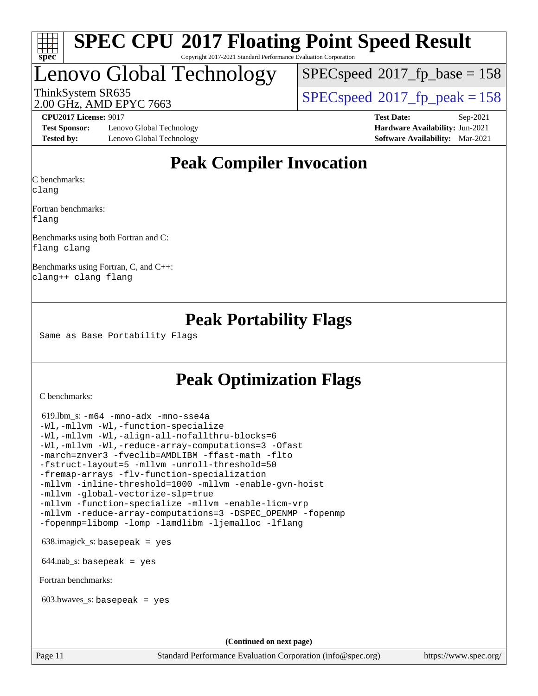

#### **[SPEC CPU](http://www.spec.org/auto/cpu2017/Docs/result-fields.html#SPECCPU2017FloatingPointSpeedResult)[2017 Floating Point Speed Result](http://www.spec.org/auto/cpu2017/Docs/result-fields.html#SPECCPU2017FloatingPointSpeedResult)** Copyright 2017-2021 Standard Performance Evaluation Corporation

### Lenovo Global Technology

 $SPECspeed^{\circledcirc}2017_fp\_base = 158$  $SPECspeed^{\circledcirc}2017_fp\_base = 158$ 

2.00 GHz, AMD EPYC 7663

ThinkSystem SR635<br>2.00 GHz, AMD EPVC 7663

**[Test Sponsor:](http://www.spec.org/auto/cpu2017/Docs/result-fields.html#TestSponsor)** Lenovo Global Technology **[Hardware Availability:](http://www.spec.org/auto/cpu2017/Docs/result-fields.html#HardwareAvailability)** Jun-2021 **[Tested by:](http://www.spec.org/auto/cpu2017/Docs/result-fields.html#Testedby)** Lenovo Global Technology **[Software Availability:](http://www.spec.org/auto/cpu2017/Docs/result-fields.html#SoftwareAvailability)** Mar-2021

**[CPU2017 License:](http://www.spec.org/auto/cpu2017/Docs/result-fields.html#CPU2017License)** 9017 **[Test Date:](http://www.spec.org/auto/cpu2017/Docs/result-fields.html#TestDate)** Sep-2021

### **[Peak Compiler Invocation](http://www.spec.org/auto/cpu2017/Docs/result-fields.html#PeakCompilerInvocation)**

[C benchmarks](http://www.spec.org/auto/cpu2017/Docs/result-fields.html#Cbenchmarks): [clang](http://www.spec.org/cpu2017/results/res2021q4/cpu2017-20210927-29604.flags.html#user_CCpeak_clang-c)

[Fortran benchmarks:](http://www.spec.org/auto/cpu2017/Docs/result-fields.html#Fortranbenchmarks) [flang](http://www.spec.org/cpu2017/results/res2021q4/cpu2017-20210927-29604.flags.html#user_FCpeak_flang)

[Benchmarks using both Fortran and C](http://www.spec.org/auto/cpu2017/Docs/result-fields.html#BenchmarksusingbothFortranandC):

[flang](http://www.spec.org/cpu2017/results/res2021q4/cpu2017-20210927-29604.flags.html#user_CC_FCpeak_flang) [clang](http://www.spec.org/cpu2017/results/res2021q4/cpu2017-20210927-29604.flags.html#user_CC_FCpeak_clang-c)

[Benchmarks using Fortran, C, and C++](http://www.spec.org/auto/cpu2017/Docs/result-fields.html#BenchmarksusingFortranCandCXX): [clang++](http://www.spec.org/cpu2017/results/res2021q4/cpu2017-20210927-29604.flags.html#user_CC_CXX_FCpeak_clang-cpp) [clang](http://www.spec.org/cpu2017/results/res2021q4/cpu2017-20210927-29604.flags.html#user_CC_CXX_FCpeak_clang-c) [flang](http://www.spec.org/cpu2017/results/res2021q4/cpu2017-20210927-29604.flags.html#user_CC_CXX_FCpeak_flang)

### **[Peak Portability Flags](http://www.spec.org/auto/cpu2017/Docs/result-fields.html#PeakPortabilityFlags)**

Same as Base Portability Flags

### **[Peak Optimization Flags](http://www.spec.org/auto/cpu2017/Docs/result-fields.html#PeakOptimizationFlags)**

[C benchmarks](http://www.spec.org/auto/cpu2017/Docs/result-fields.html#Cbenchmarks):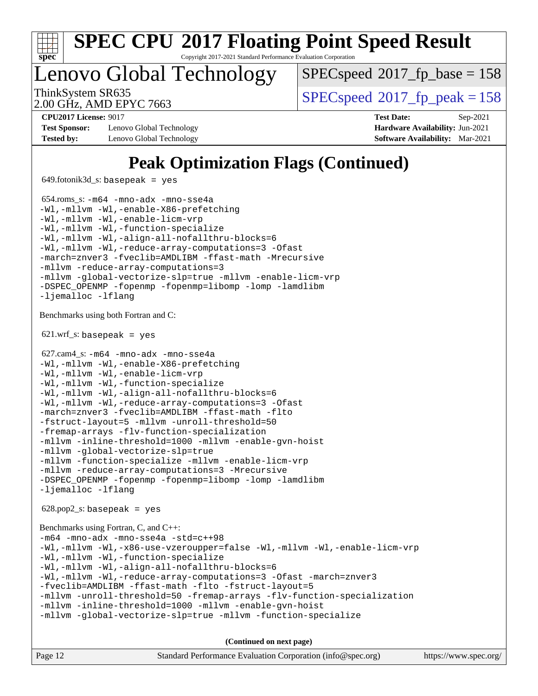

Copyright 2017-2021 Standard Performance Evaluation Corporation

Lenovo Global Technology

[SPECspeed](http://www.spec.org/auto/cpu2017/Docs/result-fields.html#SPECspeed2017fpbase)<sup>®</sup>2017 fp base = 158

2.00 GHz, AMD EPYC 7663

ThinkSystem SR635<br>2.00 CU<sub>2</sub> AMD EDVC 7663

**[Test Sponsor:](http://www.spec.org/auto/cpu2017/Docs/result-fields.html#TestSponsor)** Lenovo Global Technology **[Hardware Availability:](http://www.spec.org/auto/cpu2017/Docs/result-fields.html#HardwareAvailability)** Jun-2021 **[Tested by:](http://www.spec.org/auto/cpu2017/Docs/result-fields.html#Testedby)** Lenovo Global Technology **[Software Availability:](http://www.spec.org/auto/cpu2017/Docs/result-fields.html#SoftwareAvailability)** Mar-2021

**[CPU2017 License:](http://www.spec.org/auto/cpu2017/Docs/result-fields.html#CPU2017License)** 9017 **[Test Date:](http://www.spec.org/auto/cpu2017/Docs/result-fields.html#TestDate)** Sep-2021

### **[Peak Optimization Flags \(Continued\)](http://www.spec.org/auto/cpu2017/Docs/result-fields.html#PeakOptimizationFlags)**

649.fotonik3d\_s: basepeak = yes

 654.roms\_s: [-m64](http://www.spec.org/cpu2017/results/res2021q4/cpu2017-20210927-29604.flags.html#user_peakFCLD654_roms_s_F-m64) [-mno-adx](http://www.spec.org/cpu2017/results/res2021q4/cpu2017-20210927-29604.flags.html#user_peakFC654_roms_s_F-mno-adx) [-mno-sse4a](http://www.spec.org/cpu2017/results/res2021q4/cpu2017-20210927-29604.flags.html#user_peakFC654_roms_s_F-mno-sse4a) [-Wl,-mllvm -Wl,-enable-X86-prefetching](http://www.spec.org/cpu2017/results/res2021q4/cpu2017-20210927-29604.flags.html#user_peakLDFFLAGS654_roms_s_F-enable-X86-prefetching_362de7b2f7f327d498ff3502bcaa6d8937de40fbbc59a600e539433e6b2cb9ea5e30d4a00c3465ce74a160670b5fcaffd57d10fdc90b0d7ee2c6f387a6bf1aee) [-Wl,-mllvm -Wl,-enable-licm-vrp](http://www.spec.org/cpu2017/results/res2021q4/cpu2017-20210927-29604.flags.html#user_peakLDFFLAGS654_roms_s_F-enable-licm-vrp_65c4fc69039207ec88421e1591ba3bbf2ac715c2f390cac268ece6f40ae7757bd65f971ef38c9b70aedd2bf37e4037d3d64a7fe88db6aed78b6f244274772259) [-Wl,-mllvm -Wl,-function-specialize](http://www.spec.org/cpu2017/results/res2021q4/cpu2017-20210927-29604.flags.html#user_peakEXTRA_LDFLAGS654_roms_s_F-function-specialize_7e7e661e57922243ee67c9a1251cb8910e607325179a0ce7f2884e09a6f5d4a5ef0ae4f37e8a2a11c95fc48e931f06dc2b6016f14b511fcb441e048bef1b065a) [-Wl,-mllvm -Wl,-align-all-nofallthru-blocks=6](http://www.spec.org/cpu2017/results/res2021q4/cpu2017-20210927-29604.flags.html#user_peakEXTRA_LDFLAGS654_roms_s_F-align-all-nofallthru-blocks) [-Wl,-mllvm -Wl,-reduce-array-computations=3](http://www.spec.org/cpu2017/results/res2021q4/cpu2017-20210927-29604.flags.html#user_peakEXTRA_LDFLAGS654_roms_s_F-reduce-array-computations_b882aefe7a5dda4e33149f6299762b9a720dace3e498e13756f4c04e5a19edf5315c1f3993de2e61ec41e8c206231f84e05da7040e1bb5d69ba27d10a12507e4) [-Ofast](http://www.spec.org/cpu2017/results/res2021q4/cpu2017-20210927-29604.flags.html#user_peakFOPTIMIZE654_roms_s_aocc-Ofast) [-march=znver3](http://www.spec.org/cpu2017/results/res2021q4/cpu2017-20210927-29604.flags.html#user_peakFOPTIMIZE654_roms_s_aocc-march) [-fveclib=AMDLIBM](http://www.spec.org/cpu2017/results/res2021q4/cpu2017-20210927-29604.flags.html#user_peakFOPTIMIZE654_roms_s_F-fveclib) [-ffast-math](http://www.spec.org/cpu2017/results/res2021q4/cpu2017-20210927-29604.flags.html#user_peakFOPTIMIZE654_roms_s_aocc-ffast-math) [-Mrecursive](http://www.spec.org/cpu2017/results/res2021q4/cpu2017-20210927-29604.flags.html#user_peakFOPTIMIZE654_roms_s_F-mrecursive) [-mllvm -reduce-array-computations=3](http://www.spec.org/cpu2017/results/res2021q4/cpu2017-20210927-29604.flags.html#user_peakFOPTIMIZE654_roms_s_F-reduce-array-computations) [-mllvm -global-vectorize-slp=true](http://www.spec.org/cpu2017/results/res2021q4/cpu2017-20210927-29604.flags.html#user_peakFOPTIMIZE654_roms_s_F-global-vectorize-slp_f701c289ed3fc79483844cad3672606d268e3123d2651e764a36e57810b634b30ff7af25c43ce4288d0e4c1cc47ba156fce6ed971bc0d0e53c4c557f353d3dec) [-mllvm -enable-licm-vrp](http://www.spec.org/cpu2017/results/res2021q4/cpu2017-20210927-29604.flags.html#user_peakFOPTIMIZE654_roms_s_F-enable-licm-vrp_82fd83574dee81d8c8043a1355024a53ba7c23d449242d72368fd778ae4cd8625fb6c8e473e88c632367ccc13b0c321b9a13b8db897fcfc1592cf0205fd356b5) [-DSPEC\\_OPENMP](http://www.spec.org/cpu2017/results/res2021q4/cpu2017-20210927-29604.flags.html#suite_peakEXTRA_OPTIMIZE654_roms_s_DSPEC_OPENMP) [-fopenmp](http://www.spec.org/cpu2017/results/res2021q4/cpu2017-20210927-29604.flags.html#user_peakEXTRA_OPTIMIZE654_roms_s_aocc-fopenmp) [-fopenmp=libomp](http://www.spec.org/cpu2017/results/res2021q4/cpu2017-20210927-29604.flags.html#user_peakEXTRA_LIBS654_roms_s_aocc-fopenmp_3eb6ab80166bcc84161ff8c20c8d5bc344f88119f45620444596454f7d72e99b7a0ceefc2d1b4d190bd07306bbfdfc20f11f5a2dc69c9b03c72239f8406741c3) [-lomp](http://www.spec.org/cpu2017/results/res2021q4/cpu2017-20210927-29604.flags.html#user_peakEXTRA_LIBS654_roms_s_F-lomp) [-lamdlibm](http://www.spec.org/cpu2017/results/res2021q4/cpu2017-20210927-29604.flags.html#user_peakEXTRA_LIBS654_roms_s_F-lamdlibm) [-ljemalloc](http://www.spec.org/cpu2017/results/res2021q4/cpu2017-20210927-29604.flags.html#user_peakEXTRA_LIBS654_roms_s_jemalloc-lib) [-lflang](http://www.spec.org/cpu2017/results/res2021q4/cpu2017-20210927-29604.flags.html#user_peakEXTRA_LIBS654_roms_s_F-lflang) [Benchmarks using both Fortran and C](http://www.spec.org/auto/cpu2017/Docs/result-fields.html#BenchmarksusingbothFortranandC):  $621.wrf_s$ : basepeak = yes 627.cam4\_s: [-m64](http://www.spec.org/cpu2017/results/res2021q4/cpu2017-20210927-29604.flags.html#user_peakCCFCLD627_cam4_s_F-m64) [-mno-adx](http://www.spec.org/cpu2017/results/res2021q4/cpu2017-20210927-29604.flags.html#user_peakCCFC627_cam4_s_F-mno-adx) [-mno-sse4a](http://www.spec.org/cpu2017/results/res2021q4/cpu2017-20210927-29604.flags.html#user_peakCCFC627_cam4_s_F-mno-sse4a) [-Wl,-mllvm -Wl,-enable-X86-prefetching](http://www.spec.org/cpu2017/results/res2021q4/cpu2017-20210927-29604.flags.html#user_peakLDFFLAGS627_cam4_s_F-enable-X86-prefetching_362de7b2f7f327d498ff3502bcaa6d8937de40fbbc59a600e539433e6b2cb9ea5e30d4a00c3465ce74a160670b5fcaffd57d10fdc90b0d7ee2c6f387a6bf1aee) [-Wl,-mllvm -Wl,-enable-licm-vrp](http://www.spec.org/cpu2017/results/res2021q4/cpu2017-20210927-29604.flags.html#user_peakLDFFLAGS627_cam4_s_F-enable-licm-vrp_65c4fc69039207ec88421e1591ba3bbf2ac715c2f390cac268ece6f40ae7757bd65f971ef38c9b70aedd2bf37e4037d3d64a7fe88db6aed78b6f244274772259) [-Wl,-mllvm -Wl,-function-specialize](http://www.spec.org/cpu2017/results/res2021q4/cpu2017-20210927-29604.flags.html#user_peakEXTRA_LDFLAGS627_cam4_s_F-function-specialize_7e7e661e57922243ee67c9a1251cb8910e607325179a0ce7f2884e09a6f5d4a5ef0ae4f37e8a2a11c95fc48e931f06dc2b6016f14b511fcb441e048bef1b065a) [-Wl,-mllvm -Wl,-align-all-nofallthru-blocks=6](http://www.spec.org/cpu2017/results/res2021q4/cpu2017-20210927-29604.flags.html#user_peakEXTRA_LDFLAGS627_cam4_s_F-align-all-nofallthru-blocks) [-Wl,-mllvm -Wl,-reduce-array-computations=3](http://www.spec.org/cpu2017/results/res2021q4/cpu2017-20210927-29604.flags.html#user_peakEXTRA_LDFLAGS627_cam4_s_F-reduce-array-computations_b882aefe7a5dda4e33149f6299762b9a720dace3e498e13756f4c04e5a19edf5315c1f3993de2e61ec41e8c206231f84e05da7040e1bb5d69ba27d10a12507e4) [-Ofast](http://www.spec.org/cpu2017/results/res2021q4/cpu2017-20210927-29604.flags.html#user_peakCOPTIMIZEFOPTIMIZE627_cam4_s_aocc-Ofast) [-march=znver3](http://www.spec.org/cpu2017/results/res2021q4/cpu2017-20210927-29604.flags.html#user_peakCOPTIMIZEFOPTIMIZE627_cam4_s_aocc-march) [-fveclib=AMDLIBM](http://www.spec.org/cpu2017/results/res2021q4/cpu2017-20210927-29604.flags.html#user_peakCOPTIMIZEFOPTIMIZE627_cam4_s_F-fveclib) [-ffast-math](http://www.spec.org/cpu2017/results/res2021q4/cpu2017-20210927-29604.flags.html#user_peakCOPTIMIZEFOPTIMIZE627_cam4_s_aocc-ffast-math) [-flto](http://www.spec.org/cpu2017/results/res2021q4/cpu2017-20210927-29604.flags.html#user_peakCOPTIMIZEFOPTIMIZE627_cam4_s_aocc-flto) [-fstruct-layout=5](http://www.spec.org/cpu2017/results/res2021q4/cpu2017-20210927-29604.flags.html#user_peakCOPTIMIZE627_cam4_s_F-struct-layout) [-mllvm -unroll-threshold=50](http://www.spec.org/cpu2017/results/res2021q4/cpu2017-20210927-29604.flags.html#user_peakCOPTIMIZE627_cam4_s_F-unroll-threshold_458874500b2c105d6d5cb4d7a611c40e2b16e9e3d26b355fea72d644c3673b4de4b3932662f0ed3dbec75c491a13da2d2ca81180bd779dc531083ef1e1e549dc) [-fremap-arrays](http://www.spec.org/cpu2017/results/res2021q4/cpu2017-20210927-29604.flags.html#user_peakCOPTIMIZE627_cam4_s_F-fremap-arrays) [-flv-function-specialization](http://www.spec.org/cpu2017/results/res2021q4/cpu2017-20210927-29604.flags.html#user_peakCOPTIMIZE627_cam4_s_F-flv-function-specialization) [-mllvm -inline-threshold=1000](http://www.spec.org/cpu2017/results/res2021q4/cpu2017-20210927-29604.flags.html#user_peakCOPTIMIZE627_cam4_s_F-inline-threshold_b7832241b0a6397e4ecdbaf0eb7defdc10f885c2a282fa3240fdc99844d543fda39cf8a4a9dccf68cf19b5438ac3b455264f478df15da0f4988afa40d8243bab) [-mllvm -enable-gvn-hoist](http://www.spec.org/cpu2017/results/res2021q4/cpu2017-20210927-29604.flags.html#user_peakCOPTIMIZE627_cam4_s_F-enable-gvn-hoist_e5856354646dd6ca1333a0ad99b817e4cf8932b91b82809fd8fd47ceff7b22a89eba5c98fd3e3fa5200368fd772cec3dd56abc3c8f7b655a71b9f9848dddedd5) [-mllvm -global-vectorize-slp=true](http://www.spec.org/cpu2017/results/res2021q4/cpu2017-20210927-29604.flags.html#user_peakCOPTIMIZEFOPTIMIZE627_cam4_s_F-global-vectorize-slp_f701c289ed3fc79483844cad3672606d268e3123d2651e764a36e57810b634b30ff7af25c43ce4288d0e4c1cc47ba156fce6ed971bc0d0e53c4c557f353d3dec) [-mllvm -function-specialize](http://www.spec.org/cpu2017/results/res2021q4/cpu2017-20210927-29604.flags.html#user_peakCOPTIMIZE627_cam4_s_F-function-specialize_233b3bdba86027f1b094368157e481c5bc59f40286dc25bfadc1858dcd5745c24fd30d5f188710db7fea399bcc9f44a80b3ce3aacc70a8870250c3ae5e1f35b8) [-mllvm -enable-licm-vrp](http://www.spec.org/cpu2017/results/res2021q4/cpu2017-20210927-29604.flags.html#user_peakCOPTIMIZEFOPTIMIZE627_cam4_s_F-enable-licm-vrp_82fd83574dee81d8c8043a1355024a53ba7c23d449242d72368fd778ae4cd8625fb6c8e473e88c632367ccc13b0c321b9a13b8db897fcfc1592cf0205fd356b5) [-mllvm -reduce-array-computations=3](http://www.spec.org/cpu2017/results/res2021q4/cpu2017-20210927-29604.flags.html#user_peakCOPTIMIZEFOPTIMIZE627_cam4_s_F-reduce-array-computations) [-Mrecursive](http://www.spec.org/cpu2017/results/res2021q4/cpu2017-20210927-29604.flags.html#user_peakFOPTIMIZE627_cam4_s_F-mrecursive) [-DSPEC\\_OPENMP](http://www.spec.org/cpu2017/results/res2021q4/cpu2017-20210927-29604.flags.html#suite_peakEXTRA_OPTIMIZE627_cam4_s_DSPEC_OPENMP) [-fopenmp](http://www.spec.org/cpu2017/results/res2021q4/cpu2017-20210927-29604.flags.html#user_peakEXTRA_OPTIMIZE627_cam4_s_aocc-fopenmp) [-fopenmp=libomp](http://www.spec.org/cpu2017/results/res2021q4/cpu2017-20210927-29604.flags.html#user_peakEXTRA_LIBS627_cam4_s_aocc-fopenmp_3eb6ab80166bcc84161ff8c20c8d5bc344f88119f45620444596454f7d72e99b7a0ceefc2d1b4d190bd07306bbfdfc20f11f5a2dc69c9b03c72239f8406741c3) [-lomp](http://www.spec.org/cpu2017/results/res2021q4/cpu2017-20210927-29604.flags.html#user_peakEXTRA_LIBS627_cam4_s_F-lomp) [-lamdlibm](http://www.spec.org/cpu2017/results/res2021q4/cpu2017-20210927-29604.flags.html#user_peakEXTRA_LIBS627_cam4_s_F-lamdlibm) [-ljemalloc](http://www.spec.org/cpu2017/results/res2021q4/cpu2017-20210927-29604.flags.html#user_peakEXTRA_LIBS627_cam4_s_jemalloc-lib) [-lflang](http://www.spec.org/cpu2017/results/res2021q4/cpu2017-20210927-29604.flags.html#user_peakEXTRA_LIBS627_cam4_s_F-lflang) 628.pop2\_s: basepeak = yes [Benchmarks using Fortran, C, and C++:](http://www.spec.org/auto/cpu2017/Docs/result-fields.html#BenchmarksusingFortranCandCXX) [-m64](http://www.spec.org/cpu2017/results/res2021q4/cpu2017-20210927-29604.flags.html#user_CC_CXX_FCpeak_F-m64) [-mno-adx](http://www.spec.org/cpu2017/results/res2021q4/cpu2017-20210927-29604.flags.html#user_CC_CXX_FCpeak_F-mno-adx) [-mno-sse4a](http://www.spec.org/cpu2017/results/res2021q4/cpu2017-20210927-29604.flags.html#user_CC_CXX_FCpeak_F-mno-sse4a) [-std=c++98](http://www.spec.org/cpu2017/results/res2021q4/cpu2017-20210927-29604.flags.html#user_CC_CXX_FCpeak_std-cpp) [-Wl,-mllvm -Wl,-x86-use-vzeroupper=false](http://www.spec.org/cpu2017/results/res2021q4/cpu2017-20210927-29604.flags.html#user_CC_CXX_FCpeak_F-use-vzeroupper_f792211b0552b0142c11cf651c85f88d7eca3e3e6d4ab29ab8b0b7be9c7d83df7aebb846b5dded1424ec84d39acb59d058815f97bc3ae9de4ba00ee4e2945c83) [-Wl,-mllvm -Wl,-enable-licm-vrp](http://www.spec.org/cpu2017/results/res2021q4/cpu2017-20210927-29604.flags.html#user_CC_CXX_FCpeak_F-enable-licm-vrp_65c4fc69039207ec88421e1591ba3bbf2ac715c2f390cac268ece6f40ae7757bd65f971ef38c9b70aedd2bf37e4037d3d64a7fe88db6aed78b6f244274772259)

[-Wl,-mllvm -Wl,-function-specialize](http://www.spec.org/cpu2017/results/res2021q4/cpu2017-20210927-29604.flags.html#user_CC_CXX_FCpeak_F-function-specialize_7e7e661e57922243ee67c9a1251cb8910e607325179a0ce7f2884e09a6f5d4a5ef0ae4f37e8a2a11c95fc48e931f06dc2b6016f14b511fcb441e048bef1b065a)

```
-Wl,-mllvm -Wl,-align-all-nofallthru-blocks=6
-Wl,-mllvm -Wl,-reduce-array-computations=3 -Ofast -march=znver3
```

```
-fveclib=AMDLIBM -ffast-math -flto -fstruct-layout=5
```

```
-mllvm -unroll-threshold=50 -fremap-arrays -flv-function-specialization
```

```
-mllvm -inline-threshold=1000 -mllvm -enable-gvn-hoist
-mllvm -global-vectorize-slp=true -mllvm -function-specialize
```
**(Continued on next page)**

| Page 12<br>Standard Performance Evaluation Corporation (info@spec.org) | https://www.spec.org/ |
|------------------------------------------------------------------------|-----------------------|